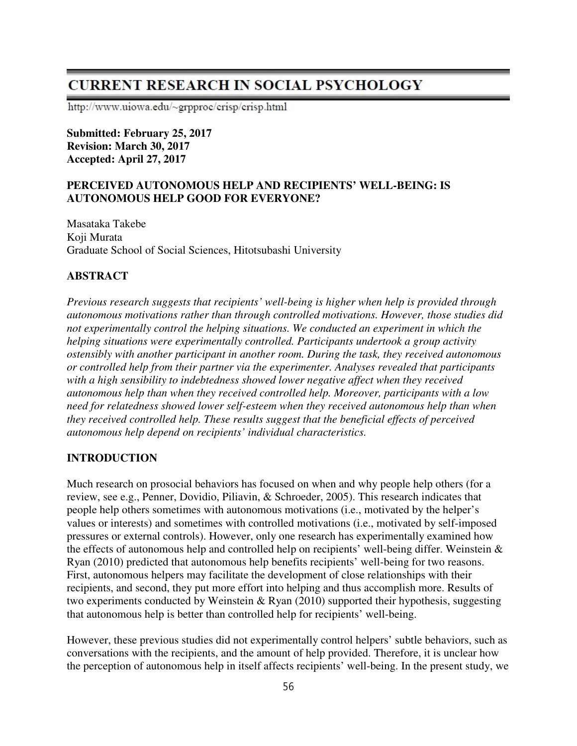# **CURRENT RESEARCH IN SOCIAL PSYCHOLOGY**

http://www.uiowa.edu/~grpproc/crisp/crisp.html

**Submitted: February 25, 2017 Revision: March 30, 2017 Accepted: April 27, 2017** 

## **PERCEIVED AUTONOMOUS HELP AND RECIPIENTS' WELL-BEING: IS AUTONOMOUS HELP GOOD FOR EVERYONE?**

Masataka Takebe Koji Murata Graduate School of Social Sciences, Hitotsubashi University

# **ABSTRACT**

*Previous research suggests that recipients' well-being is higher when help is provided through autonomous motivations rather than through controlled motivations. However, those studies did not experimentally control the helping situations. We conducted an experiment in which the helping situations were experimentally controlled. Participants undertook a group activity ostensibly with another participant in another room. During the task, they received autonomous or controlled help from their partner via the experimenter. Analyses revealed that participants with a high sensibility to indebtedness showed lower negative affect when they received autonomous help than when they received controlled help. Moreover, participants with a low need for relatedness showed lower self-esteem when they received autonomous help than when they received controlled help. These results suggest that the beneficial effects of perceived autonomous help depend on recipients' individual characteristics.* 

# **INTRODUCTION**

Much research on prosocial behaviors has focused on when and why people help others (for a review, see e.g., Penner, Dovidio, Piliavin, & Schroeder, 2005). This research indicates that people help others sometimes with autonomous motivations (i.e., motivated by the helper's values or interests) and sometimes with controlled motivations (i.e., motivated by self-imposed pressures or external controls). However, only one research has experimentally examined how the effects of autonomous help and controlled help on recipients' well-being differ. Weinstein & Ryan (2010) predicted that autonomous help benefits recipients' well-being for two reasons. First, autonomous helpers may facilitate the development of close relationships with their recipients, and second, they put more effort into helping and thus accomplish more. Results of two experiments conducted by Weinstein & Ryan (2010) supported their hypothesis, suggesting that autonomous help is better than controlled help for recipients' well-being.

However, these previous studies did not experimentally control helpers' subtle behaviors, such as conversations with the recipients, and the amount of help provided. Therefore, it is unclear how the perception of autonomous help in itself affects recipients' well-being. In the present study, we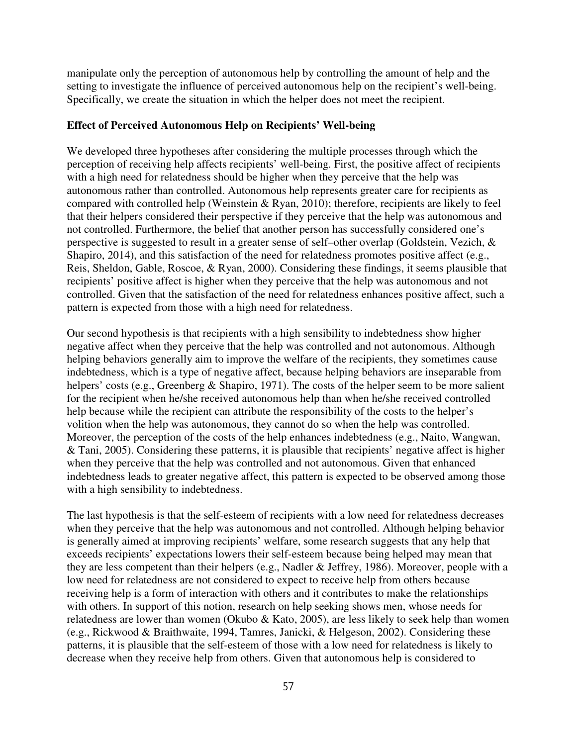manipulate only the perception of autonomous help by controlling the amount of help and the setting to investigate the influence of perceived autonomous help on the recipient's well-being. Specifically, we create the situation in which the helper does not meet the recipient.

## **Effect of Perceived Autonomous Help on Recipients' Well-being**

We developed three hypotheses after considering the multiple processes through which the perception of receiving help affects recipients' well-being. First, the positive affect of recipients with a high need for relatedness should be higher when they perceive that the help was autonomous rather than controlled. Autonomous help represents greater care for recipients as compared with controlled help (Weinstein & Ryan, 2010); therefore, recipients are likely to feel that their helpers considered their perspective if they perceive that the help was autonomous and not controlled. Furthermore, the belief that another person has successfully considered one's perspective is suggested to result in a greater sense of self–other overlap (Goldstein, Vezich, & Shapiro, 2014), and this satisfaction of the need for relatedness promotes positive affect (e.g., Reis, Sheldon, Gable, Roscoe, & Ryan, 2000). Considering these findings, it seems plausible that recipients' positive affect is higher when they perceive that the help was autonomous and not controlled. Given that the satisfaction of the need for relatedness enhances positive affect, such a pattern is expected from those with a high need for relatedness.

Our second hypothesis is that recipients with a high sensibility to indebtedness show higher negative affect when they perceive that the help was controlled and not autonomous. Although helping behaviors generally aim to improve the welfare of the recipients, they sometimes cause indebtedness, which is a type of negative affect, because helping behaviors are inseparable from helpers' costs (e.g., Greenberg & Shapiro, 1971). The costs of the helper seem to be more salient for the recipient when he/she received autonomous help than when he/she received controlled help because while the recipient can attribute the responsibility of the costs to the helper's volition when the help was autonomous, they cannot do so when the help was controlled. Moreover, the perception of the costs of the help enhances indebtedness (e.g., Naito, Wangwan, & Tani, 2005). Considering these patterns, it is plausible that recipients' negative affect is higher when they perceive that the help was controlled and not autonomous. Given that enhanced indebtedness leads to greater negative affect, this pattern is expected to be observed among those with a high sensibility to indebtedness.

The last hypothesis is that the self-esteem of recipients with a low need for relatedness decreases when they perceive that the help was autonomous and not controlled. Although helping behavior is generally aimed at improving recipients' welfare, some research suggests that any help that exceeds recipients' expectations lowers their self-esteem because being helped may mean that they are less competent than their helpers (e.g., Nadler & Jeffrey, 1986). Moreover, people with a low need for relatedness are not considered to expect to receive help from others because receiving help is a form of interaction with others and it contributes to make the relationships with others. In support of this notion, research on help seeking shows men, whose needs for relatedness are lower than women (Okubo & Kato, 2005), are less likely to seek help than women (e.g., Rickwood & Braithwaite, 1994, Tamres, Janicki, & Helgeson, 2002). Considering these patterns, it is plausible that the self-esteem of those with a low need for relatedness is likely to decrease when they receive help from others. Given that autonomous help is considered to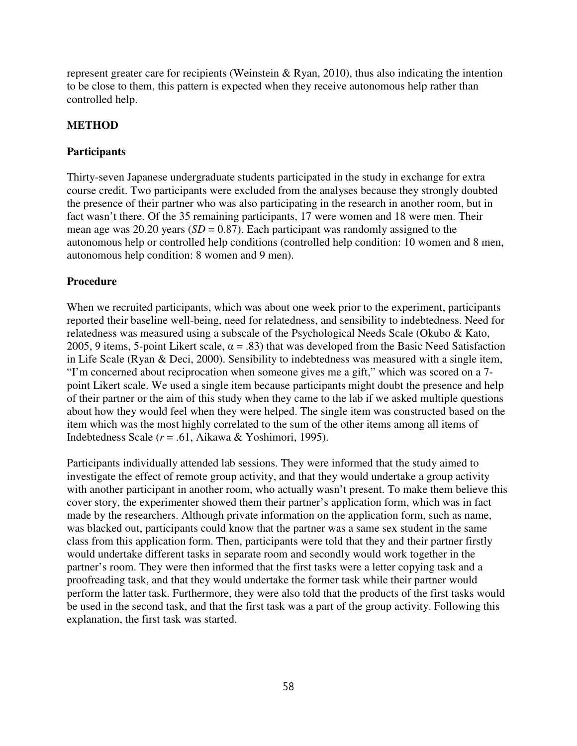represent greater care for recipients (Weinstein & Ryan, 2010), thus also indicating the intention to be close to them, this pattern is expected when they receive autonomous help rather than controlled help.

# **METHOD**

## **Participants**

Thirty-seven Japanese undergraduate students participated in the study in exchange for extra course credit. Two participants were excluded from the analyses because they strongly doubted the presence of their partner who was also participating in the research in another room, but in fact wasn't there. Of the 35 remaining participants, 17 were women and 18 were men. Their mean age was  $20.20$  years ( $SD = 0.87$ ). Each participant was randomly assigned to the autonomous help or controlled help conditions (controlled help condition: 10 women and 8 men, autonomous help condition: 8 women and 9 men).

## **Procedure**

When we recruited participants, which was about one week prior to the experiment, participants reported their baseline well-being, need for relatedness, and sensibility to indebtedness. Need for relatedness was measured using a subscale of the Psychological Needs Scale (Okubo & Kato, 2005, 9 items, 5-point Likert scale,  $\alpha = .83$ ) that was developed from the Basic Need Satisfaction in Life Scale (Ryan & Deci, 2000). Sensibility to indebtedness was measured with a single item, "I'm concerned about reciprocation when someone gives me a gift," which was scored on a 7 point Likert scale. We used a single item because participants might doubt the presence and help of their partner or the aim of this study when they came to the lab if we asked multiple questions about how they would feel when they were helped. The single item was constructed based on the item which was the most highly correlated to the sum of the other items among all items of Indebtedness Scale (*r* = .61, Aikawa & Yoshimori, 1995).

Participants individually attended lab sessions. They were informed that the study aimed to investigate the effect of remote group activity, and that they would undertake a group activity with another participant in another room, who actually wasn't present. To make them believe this cover story, the experimenter showed them their partner's application form, which was in fact made by the researchers. Although private information on the application form, such as name, was blacked out, participants could know that the partner was a same sex student in the same class from this application form. Then, participants were told that they and their partner firstly would undertake different tasks in separate room and secondly would work together in the partner's room. They were then informed that the first tasks were a letter copying task and a proofreading task, and that they would undertake the former task while their partner would perform the latter task. Furthermore, they were also told that the products of the first tasks would be used in the second task, and that the first task was a part of the group activity. Following this explanation, the first task was started.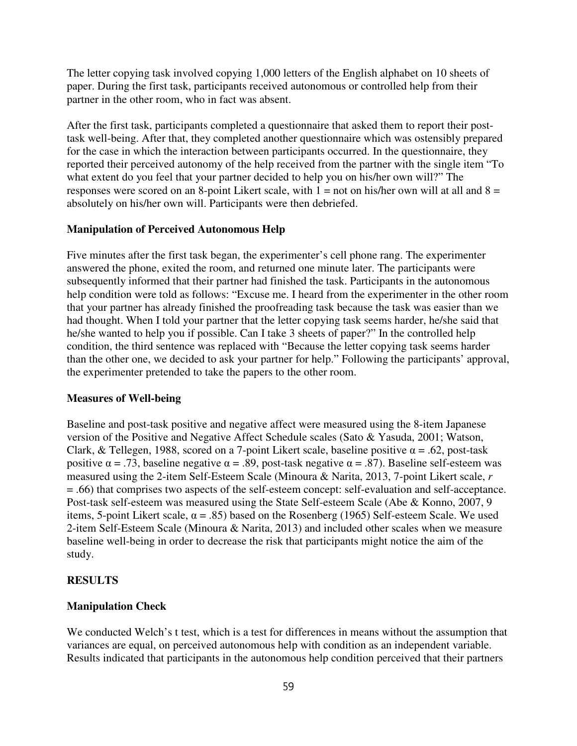The letter copying task involved copying 1,000 letters of the English alphabet on 10 sheets of paper. During the first task, participants received autonomous or controlled help from their partner in the other room, who in fact was absent.

After the first task, participants completed a questionnaire that asked them to report their posttask well-being. After that, they completed another questionnaire which was ostensibly prepared for the case in which the interaction between participants occurred. In the questionnaire, they reported their perceived autonomy of the help received from the partner with the single item "To what extent do you feel that your partner decided to help you on his/her own will?" The responses were scored on an 8-point Likert scale, with  $1 =$  not on his/her own will at all and  $8 =$ absolutely on his/her own will. Participants were then debriefed.

#### **Manipulation of Perceived Autonomous Help**

Five minutes after the first task began, the experimenter's cell phone rang. The experimenter answered the phone, exited the room, and returned one minute later. The participants were subsequently informed that their partner had finished the task. Participants in the autonomous help condition were told as follows: "Excuse me. I heard from the experimenter in the other room that your partner has already finished the proofreading task because the task was easier than we had thought. When I told your partner that the letter copying task seems harder, he/she said that he/she wanted to help you if possible. Can I take 3 sheets of paper?" In the controlled help condition, the third sentence was replaced with "Because the letter copying task seems harder than the other one, we decided to ask your partner for help." Following the participants' approval, the experimenter pretended to take the papers to the other room.

#### **Measures of Well-being**

Baseline and post-task positive and negative affect were measured using the 8-item Japanese version of the Positive and Negative Affect Schedule scales (Sato & Yasuda, 2001; Watson, Clark, & Tellegen, 1988, scored on a 7-point Likert scale, baseline positive  $\alpha = .62$ , post-task positive  $\alpha = .73$ , baseline negative  $\alpha = .89$ , post-task negative  $\alpha = .87$ ). Baseline self-esteem was measured using the 2-item Self-Esteem Scale (Minoura & Narita, 2013, 7-point Likert scale, *r* = .66) that comprises two aspects of the self-esteem concept: self-evaluation and self-acceptance. Post-task self-esteem was measured using the State Self-esteem Scale (Abe & Konno, 2007, 9 items, 5-point Likert scale,  $\alpha = .85$ ) based on the Rosenberg (1965) Self-esteem Scale. We used 2-item Self-Esteem Scale (Minoura & Narita, 2013) and included other scales when we measure baseline well-being in order to decrease the risk that participants might notice the aim of the study.

### **RESULTS**

#### **Manipulation Check**

We conducted Welch's t test, which is a test for differences in means without the assumption that variances are equal, on perceived autonomous help with condition as an independent variable. Results indicated that participants in the autonomous help condition perceived that their partners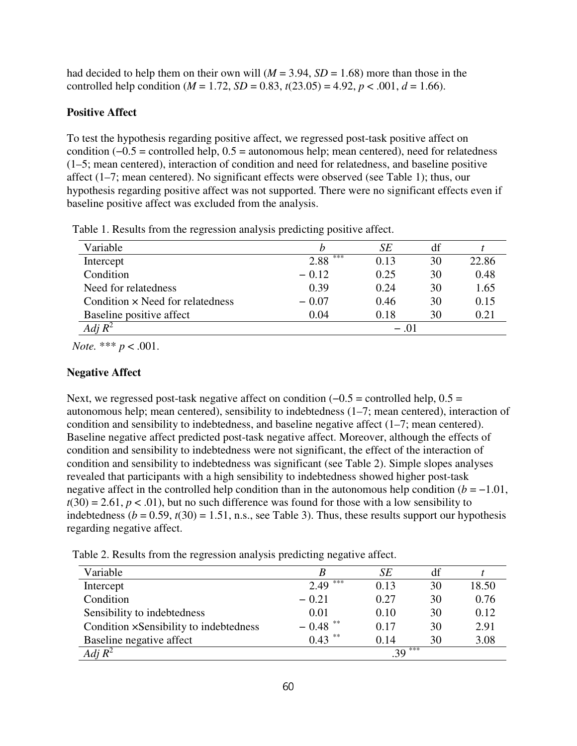had decided to help them on their own will  $(M = 3.94, SD = 1.68)$  more than those in the controlled help condition ( $M = 1.72$ ,  $SD = 0.83$ ,  $t(23.05) = 4.92$ ,  $p < .001$ ,  $d = 1.66$ ).

# **Positive Affect**

To test the hypothesis regarding positive affect, we regressed post-task positive affect on condition (−0.5 = controlled help, 0.5 = autonomous help; mean centered), need for relatedness (1–5; mean centered), interaction of condition and need for relatedness, and baseline positive affect (1–7; mean centered). No significant effects were observed (see Table 1); thus, our hypothesis regarding positive affect was not supported. There were no significant effects even if baseline positive affect was excluded from the analysis.

| Variable                                |             | SE   | df |       |  |
|-----------------------------------------|-------------|------|----|-------|--|
| Intercept                               | ***<br>2.88 | 0.13 | 30 | 22.86 |  |
| Condition                               | $-0.12$     | 0.25 | 30 | 0.48  |  |
| Need for relatedness                    | 0.39        | 0.24 | 30 | 1.65  |  |
| Condition $\times$ Need for relatedness | $-0.07$     | 0.46 | 30 | 0.15  |  |
| Baseline positive affect                | 0.04        | 0.18 | 30 | 0.21  |  |
| $Adj R^2$                               | $-101$      |      |    |       |  |

Table 1. Results from the regression analysis predicting positive affect.

*Note.* \*\*\* *p* < .001.

# **Negative Affect**

Next, we regressed post-task negative affect on condition  $(-0.5 =$  controlled help,  $0.5 =$ autonomous help; mean centered), sensibility to indebtedness (1–7; mean centered), interaction of condition and sensibility to indebtedness, and baseline negative affect (1–7; mean centered). Baseline negative affect predicted post-task negative affect. Moreover, although the effects of condition and sensibility to indebtedness were not significant, the effect of the interaction of condition and sensibility to indebtedness was significant (see Table 2). Simple slopes analyses revealed that participants with a high sensibility to indebtedness showed higher post-task negative affect in the controlled help condition than in the autonomous help condition  $(b = -1.01)$ ,  $t(30) = 2.61, p < .01$ , but no such difference was found for those with a low sensibility to indebtedness ( $b = 0.59$ ,  $t(30) = 1.51$ , n.s., see Table 3). Thus, these results support our hypothesis regarding negative affect.

Table 2. Results from the regression analysis predicting negative affect.

| Variable                               |             | SE   | df |       |  |
|----------------------------------------|-------------|------|----|-------|--|
| Intercept                              | ***<br>2.49 | 0.13 | 30 | 18.50 |  |
| Condition                              | $-0.21$     | 0.27 | 30 | 0.76  |  |
| Sensibility to indebtedness            | 0.01        | 0.10 | 30 | 0.12  |  |
| Condition xSensibility to indebtedness | $-0.48$     | 0.17 | 30 | 2.91  |  |
| Baseline negative affect               | 米米<br>0.43  | 0.14 | 30 | 3.08  |  |
| $\overline{Adj} R^2$                   | $.39***$    |      |    |       |  |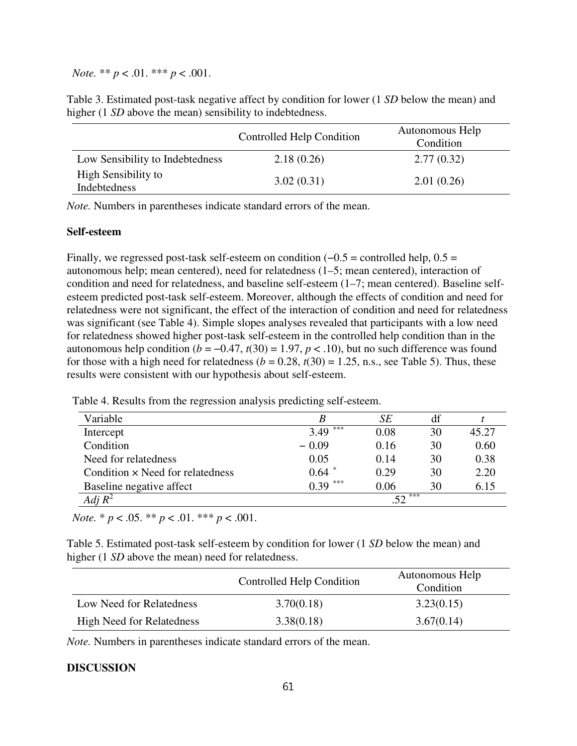*Note.* \*\* *p* < .01. \*\*\* *p* < .001.

Table 3. Estimated post-task negative affect by condition for lower (1 *SD* below the mean) and higher (1 *SD* above the mean) sensibility to indebtedness.

|                                     | Controlled Help Condition | Autonomous Help<br>Condition |
|-------------------------------------|---------------------------|------------------------------|
| Low Sensibility to Indebtedness     | 2.18(0.26)                | 2.77(0.32)                   |
| High Sensibility to<br>Indebtedness | 3.02(0.31)                | 2.01(0.26)                   |

*Note.* Numbers in parentheses indicate standard errors of the mean.

#### **Self-esteem**

Finally, we regressed post-task self-esteem on condition  $(-0.5 =$  controlled help,  $0.5 =$ autonomous help; mean centered), need for relatedness (1–5; mean centered), interaction of condition and need for relatedness, and baseline self-esteem (1–7; mean centered). Baseline selfesteem predicted post-task self-esteem. Moreover, although the effects of condition and need for relatedness were not significant, the effect of the interaction of condition and need for relatedness was significant (see Table 4). Simple slopes analyses revealed that participants with a low need for relatedness showed higher post-task self-esteem in the controlled help condition than in the autonomous help condition  $(b = -0.47, t(30) = 1.97, p < .10)$ , but no such difference was found for those with a high need for relatedness  $(b = 0.28, t(30) = 1.25, n.s.,$  see Table 5). Thus, these results were consistent with our hypothesis about self-esteem.

| Variable                                |             | SE   | df |       |  |
|-----------------------------------------|-------------|------|----|-------|--|
| Intercept                               | ***<br>3.49 | 0.08 | 30 | 45.27 |  |
| Condition                               | $-0.09$     | 0.16 | 30 | 0.60  |  |
| Need for relatedness                    | 0.05        | 0.14 | 30 | 0.38  |  |
| Condition $\times$ Need for relatedness | $0.64$ $*$  | 0.29 | 30 | 2.20  |  |
| Baseline negative affect                | ***<br>0.39 | 0.06 | 30 | 6.15  |  |
| Adj $R^2$                               | ***         |      |    |       |  |

Table 4. Results from the regression analysis predicting self-esteem.

*Note.* \* *p* < .05. \*\* *p* < .01. \*\*\* *p* < .001.

Table 5. Estimated post-task self-esteem by condition for lower (1 *SD* below the mean) and higher (1 *SD* above the mean) need for relatedness.

|                                  | Controlled Help Condition | Autonomous Help<br>Condition |  |  |  |
|----------------------------------|---------------------------|------------------------------|--|--|--|
| Low Need for Relatedness         | 3.70(0.18)                | 3.23(0.15)                   |  |  |  |
| <b>High Need for Relatedness</b> | 3.38(0.18)                | 3.67(0.14)                   |  |  |  |

*Note.* Numbers in parentheses indicate standard errors of the mean.

#### **DISCUSSION**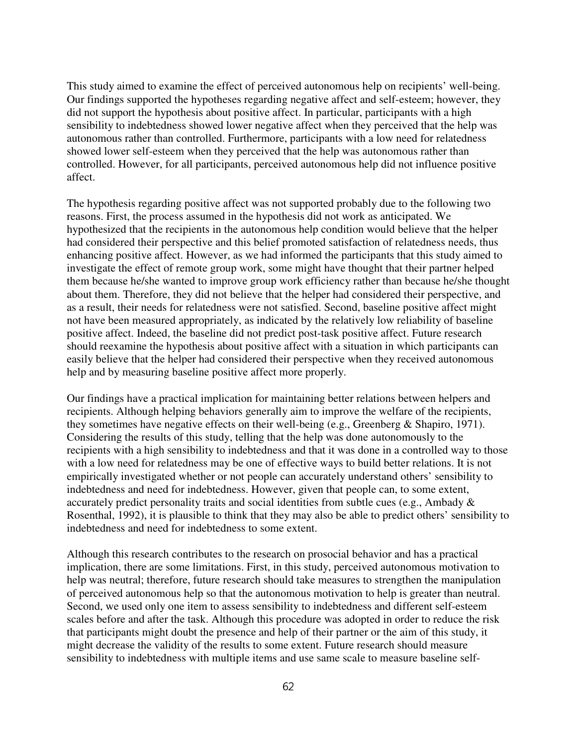This study aimed to examine the effect of perceived autonomous help on recipients' well-being. Our findings supported the hypotheses regarding negative affect and self-esteem; however, they did not support the hypothesis about positive affect. In particular, participants with a high sensibility to indebtedness showed lower negative affect when they perceived that the help was autonomous rather than controlled. Furthermore, participants with a low need for relatedness showed lower self-esteem when they perceived that the help was autonomous rather than controlled. However, for all participants, perceived autonomous help did not influence positive affect.

The hypothesis regarding positive affect was not supported probably due to the following two reasons. First, the process assumed in the hypothesis did not work as anticipated. We hypothesized that the recipients in the autonomous help condition would believe that the helper had considered their perspective and this belief promoted satisfaction of relatedness needs, thus enhancing positive affect. However, as we had informed the participants that this study aimed to investigate the effect of remote group work, some might have thought that their partner helped them because he/she wanted to improve group work efficiency rather than because he/she thought about them. Therefore, they did not believe that the helper had considered their perspective, and as a result, their needs for relatedness were not satisfied. Second, baseline positive affect might not have been measured appropriately, as indicated by the relatively low reliability of baseline positive affect. Indeed, the baseline did not predict post-task positive affect. Future research should reexamine the hypothesis about positive affect with a situation in which participants can easily believe that the helper had considered their perspective when they received autonomous help and by measuring baseline positive affect more properly.

Our findings have a practical implication for maintaining better relations between helpers and recipients. Although helping behaviors generally aim to improve the welfare of the recipients, they sometimes have negative effects on their well-being (e.g., Greenberg & Shapiro, 1971). Considering the results of this study, telling that the help was done autonomously to the recipients with a high sensibility to indebtedness and that it was done in a controlled way to those with a low need for relatedness may be one of effective ways to build better relations. It is not empirically investigated whether or not people can accurately understand others' sensibility to indebtedness and need for indebtedness. However, given that people can, to some extent, accurately predict personality traits and social identities from subtle cues (e.g., Ambady & Rosenthal, 1992), it is plausible to think that they may also be able to predict others' sensibility to indebtedness and need for indebtedness to some extent.

Although this research contributes to the research on prosocial behavior and has a practical implication, there are some limitations. First, in this study, perceived autonomous motivation to help was neutral; therefore, future research should take measures to strengthen the manipulation of perceived autonomous help so that the autonomous motivation to help is greater than neutral. Second, we used only one item to assess sensibility to indebtedness and different self-esteem scales before and after the task. Although this procedure was adopted in order to reduce the risk that participants might doubt the presence and help of their partner or the aim of this study, it might decrease the validity of the results to some extent. Future research should measure sensibility to indebtedness with multiple items and use same scale to measure baseline self-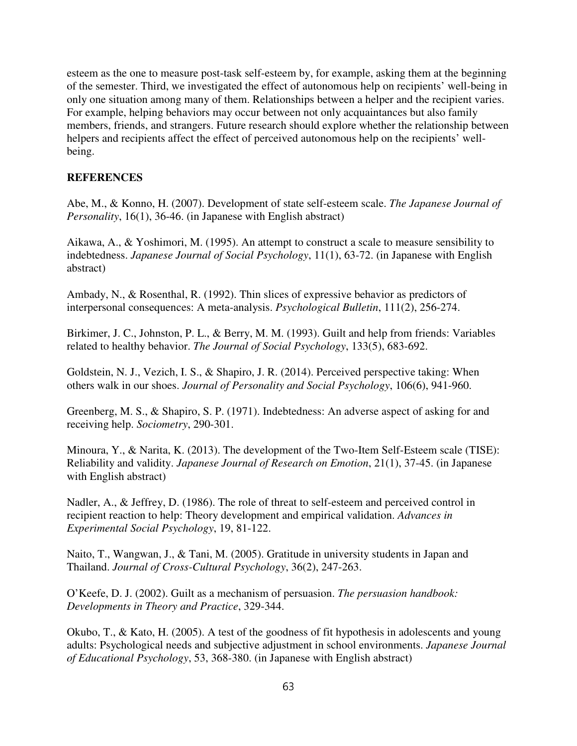esteem as the one to measure post-task self-esteem by, for example, asking them at the beginning of the semester. Third, we investigated the effect of autonomous help on recipients' well-being in only one situation among many of them. Relationships between a helper and the recipient varies. For example, helping behaviors may occur between not only acquaintances but also family members, friends, and strangers. Future research should explore whether the relationship between helpers and recipients affect the effect of perceived autonomous help on the recipients' wellbeing.

## **REFERENCES**

Abe, M., & Konno, H. (2007). Development of state self-esteem scale. *The Japanese Journal of Personality*, 16(1), 36-46. (in Japanese with English abstract)

Aikawa, A., & Yoshimori, M. (1995). An attempt to construct a scale to measure sensibility to indebtedness. *Japanese Journal of Social Psychology*, 11(1), 63-72. (in Japanese with English abstract)

Ambady, N., & Rosenthal, R. (1992). Thin slices of expressive behavior as predictors of interpersonal consequences: A meta-analysis. *Psychological Bulletin*, 111(2), 256-274.

Birkimer, J. C., Johnston, P. L., & Berry, M. M. (1993). Guilt and help from friends: Variables related to healthy behavior. *The Journal of Social Psychology*, 133(5), 683-692.

Goldstein, N. J., Vezich, I. S., & Shapiro, J. R. (2014). Perceived perspective taking: When others walk in our shoes. *Journal of Personality and Social Psychology*, 106(6), 941-960.

Greenberg, M. S., & Shapiro, S. P. (1971). Indebtedness: An adverse aspect of asking for and receiving help. *Sociometry*, 290-301.

Minoura, Y., & Narita, K. (2013). The development of the Two-Item Self-Esteem scale (TISE): Reliability and validity. *Japanese Journal of Research on Emotion*, 21(1), 37-45. (in Japanese with English abstract)

Nadler, A., & Jeffrey, D. (1986). The role of threat to self-esteem and perceived control in recipient reaction to help: Theory development and empirical validation. *Advances in Experimental Social Psychology*, 19, 81-122.

Naito, T., Wangwan, J., & Tani, M. (2005). Gratitude in university students in Japan and Thailand. *Journal of Cross-Cultural Psychology*, 36(2), 247-263.

O'Keefe, D. J. (2002). Guilt as a mechanism of persuasion. *The persuasion handbook: Developments in Theory and Practice*, 329-344.

Okubo, T., & Kato, H. (2005). A test of the goodness of fit hypothesis in adolescents and young adults: Psychological needs and subjective adjustment in school environments. *Japanese Journal of Educational Psychology*, 53, 368-380. (in Japanese with English abstract)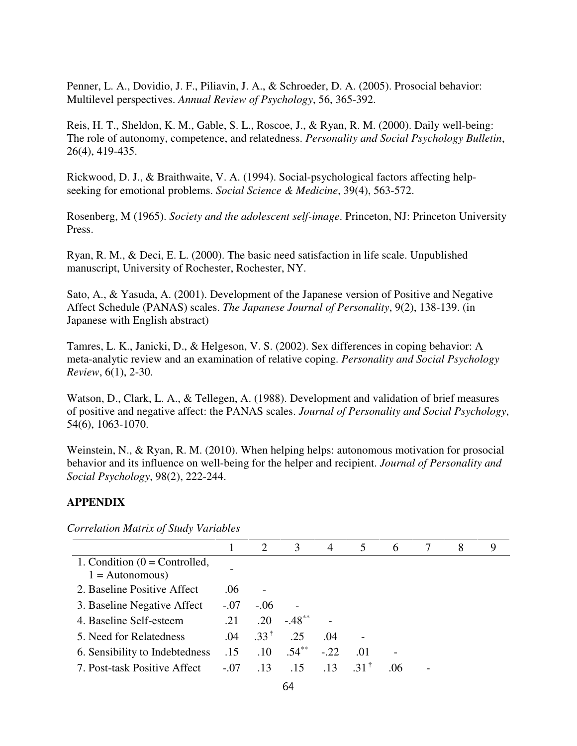Penner, L. A., Dovidio, J. F., Piliavin, J. A., & Schroeder, D. A. (2005). Prosocial behavior: Multilevel perspectives. *Annual Review of Psychology*, 56, 365-392.

Reis, H. T., Sheldon, K. M., Gable, S. L., Roscoe, J., & Ryan, R. M. (2000). Daily well-being: The role of autonomy, competence, and relatedness. *Personality and Social Psychology Bulletin*, 26(4), 419-435.

Rickwood, D. J., & Braithwaite, V. A. (1994). Social-psychological factors affecting helpseeking for emotional problems. *Social Science & Medicine*, 39(4), 563-572.

Rosenberg, M (1965). *Society and the adolescent self-image*. Princeton, NJ: Princeton University Press.

Ryan, R. M., & Deci, E. L. (2000). The basic need satisfaction in life scale. Unpublished manuscript, University of Rochester, Rochester, NY.

Sato, A., & Yasuda, A. (2001). Development of the Japanese version of Positive and Negative Affect Schedule (PANAS) scales. *The Japanese Journal of Personality*, 9(2), 138-139. (in Japanese with English abstract)

Tamres, L. K., Janicki, D., & Helgeson, V. S. (2002). Sex differences in coping behavior: A meta-analytic review and an examination of relative coping. *Personality and Social Psychology Review*, 6(1), 2-30.

Watson, D., Clark, L. A., & Tellegen, A. (1988). Development and validation of brief measures of positive and negative affect: the PANAS scales. *Journal of Personality and Social Psychology*, 54(6), 1063-1070.

Weinstein, N., & Ryan, R. M. (2010). When helping helps: autonomous motivation for prosocial behavior and its influence on well-being for the helper and recipient. *Journal of Personality and Social Psychology*, 98(2), 222-244.

# **APPENDIX**

*Correlation Matrix of Study Variables* 

|                                                     |        | 2               | 3         | $\overline{4}$ | 5                  | 6   | 8 | 9 |
|-----------------------------------------------------|--------|-----------------|-----------|----------------|--------------------|-----|---|---|
| 1. Condition $(0 = Controled,$<br>$1 =$ Autonomous) |        |                 |           |                |                    |     |   |   |
| 2. Baseline Positive Affect                         | .06    |                 |           |                |                    |     |   |   |
| 3. Baseline Negative Affect                         | $-.07$ | $-.06$          |           |                |                    |     |   |   |
| 4. Baseline Self-esteem                             | .21    | .20             | $-.48***$ |                |                    |     |   |   |
| 5. Need for Relatedness                             | .04    | $.33^{\dagger}$ | .25       | .04            |                    |     |   |   |
| 6. Sensibility to Indebtedness                      | .15    | .10             | $.54***$  | $-.22$         | .01                |     |   |   |
| 7. Post-task Positive Affect                        | $-.07$ | 13              | 15        | 13             | $-31$ <sup>T</sup> | .06 |   |   |